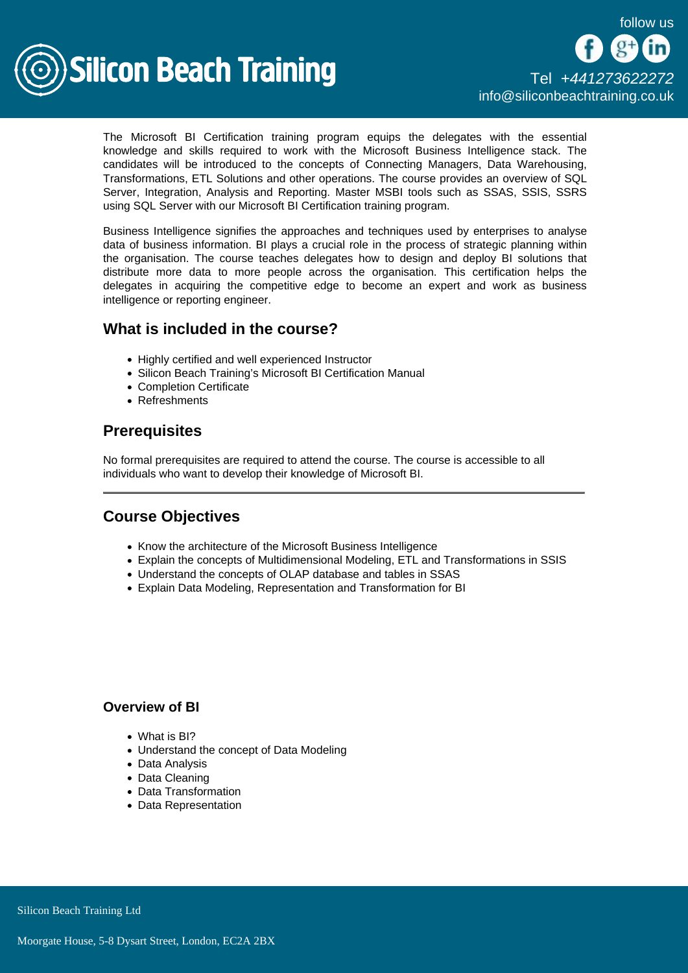

The Microsoft BI Certification training program equips the delegates with the essential knowledge and skills required to work with the Microsoft Business Intelligence stack. The candidates will be introduced to the concepts of Connecting Managers, Data Warehousing, Transformations, ETL Solutions and other operations. The course provides an overview of SQL Server, Integration, Analysis and Reporting. Master MSBI tools such as SSAS, SSIS, SSRS using SQL Server with our Microsoft BI Certification training program.

Business Intelligence signifies the approaches and techniques used by enterprises to analyse data of business information. BI plays a crucial role in the process of strategic planning within the organisation. The course teaches delegates how to design and deploy BI solutions that distribute more data to more people across the organisation. This certification helps the delegates in acquiring the competitive edge to become an expert and work as business intelligence or reporting engineer.

## What is included in the course?

- Highly certified and well experienced Instructor
- Silicon Beach Training's Microsoft BI Certification Manual
- Completion Certificate
- Refreshments

# **Prerequisites**

No formal prerequisites are required to attend the course. The course is accessible to all individuals who want to develop their knowledge of Microsoft BI.

# Course Objectives

- Know the architecture of the Microsoft Business Intelligence
- Explain the concepts of Multidimensional Modeling, ETL and Transformations in SSIS
- Understand the concepts of OLAP database and tables in SSAS
- Explain Data Modeling, Representation and Transformation for BI

#### Overview of BI

- What is BI?
- Understand the concept of Data Modeling
- Data Analysis
- Data Cleaning
- Data Transformation
- Data Representation

Silicon Beach Training Ltd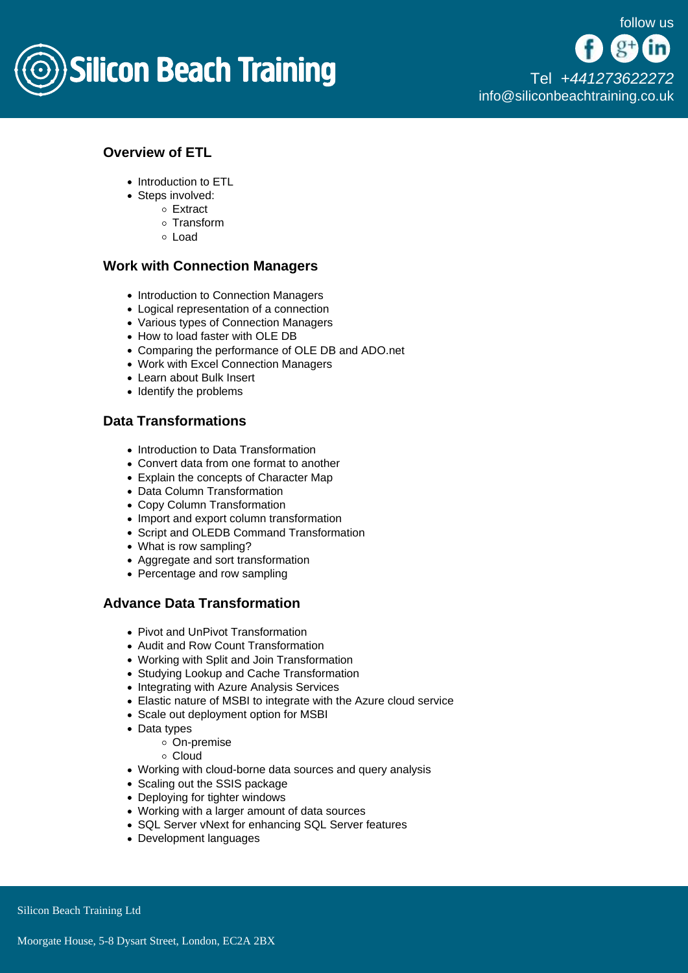

## Overview of ETL

- Introduction to ETL
- Steps involved:
	- Extract
	- o Transform
	- Load

#### Work with Connection Managers

- Introduction to Connection Managers
- Logical representation of a connection
- Various types of Connection Managers
- How to load faster with OLE DB
- Comparing the performance of OLE DB and ADO.net
- Work with Excel Connection Managers
- Learn about Bulk Insert
- Identify the problems

### Data Transformations

- Introduction to Data Transformation
- Convert data from one format to another
- Explain the concepts of Character Map
- Data Column Transformation
- Copy Column Transformation
- Import and export column transformation
- Script and OLEDB Command Transformation
- What is row sampling?
- Aggregate and sort transformation
- Percentage and row sampling

### Advance Data Transformation

- Pivot and UnPivot Transformation
- Audit and Row Count Transformation
- Working with Split and Join Transformation
- Studying Lookup and Cache Transformation
- Integrating with Azure Analysis Services
- Elastic nature of MSBI to integrate with the Azure cloud service
- Scale out deployment option for MSBI
- Data types
	- On-premise
	- Cloud
- Working with cloud-borne data sources and query analysis
- Scaling out the SSIS package
- Deploying for tighter windows
- Working with a larger amount of data sources
- SQL Server vNext for enhancing SQL Server features
- Development languages

Silicon Beach Training Ltd